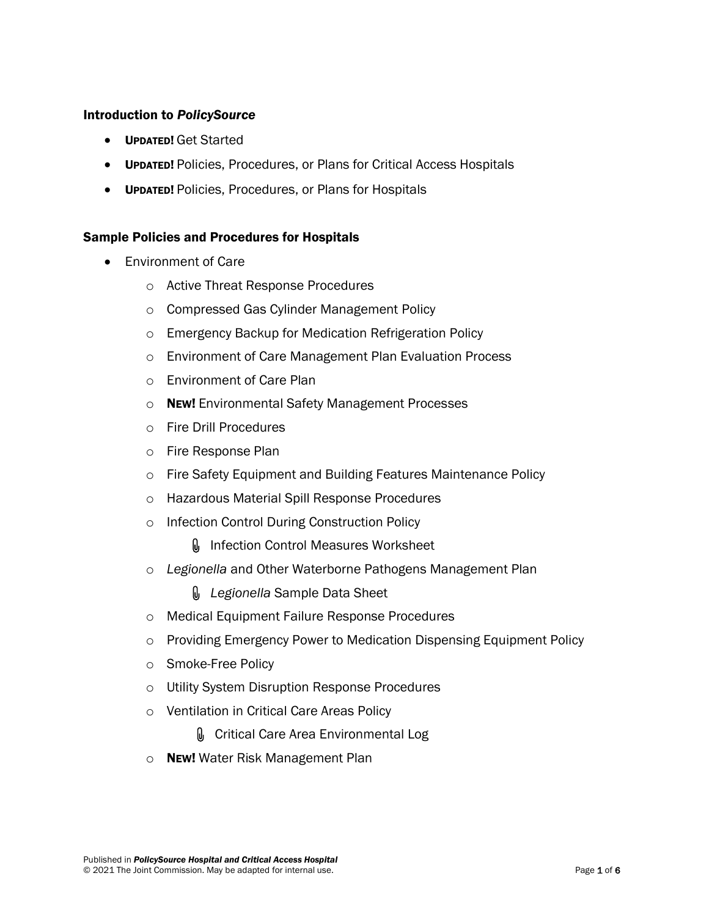## Introduction to *PolicySource*

- UPDATED! Get Started
- **UPDATED!** Policies, Procedures, or Plans for Critical Access Hospitals
- UPDATED! Policies, Procedures, or Plans for Hospitals

## Sample Policies and Procedures for Hospitals

- Environment of Care
	- o Active Threat Response Procedures
	- o Compressed Gas Cylinder Management Policy
	- o Emergency Backup for Medication Refrigeration Policy
	- o Environment of Care Management Plan Evaluation Process
	- o Environment of Care Plan
	- o **NEW!** Environmental Safety Management Processes
	- o Fire Drill Procedures
	- o Fire Response Plan
	- o Fire Safety Equipment and Building Features Maintenance Policy
	- o Hazardous Material Spill Response Procedures
	- o Infection Control During Construction Policy
		- **I** Infection Control Measures Worksheet
	- o *Legionella* and Other Waterborne Pathogens Management Plan

*Legionella* Sample Data Sheet

- o Medical Equipment Failure Response Procedures
- o Providing Emergency Power to Medication Dispensing Equipment Policy
- o Smoke-Free Policy
- o Utility System Disruption Response Procedures
- o Ventilation in Critical Care Areas Policy
	- **O** Critical Care Area Environmental Log
- o **NEW!** Water Risk Management Plan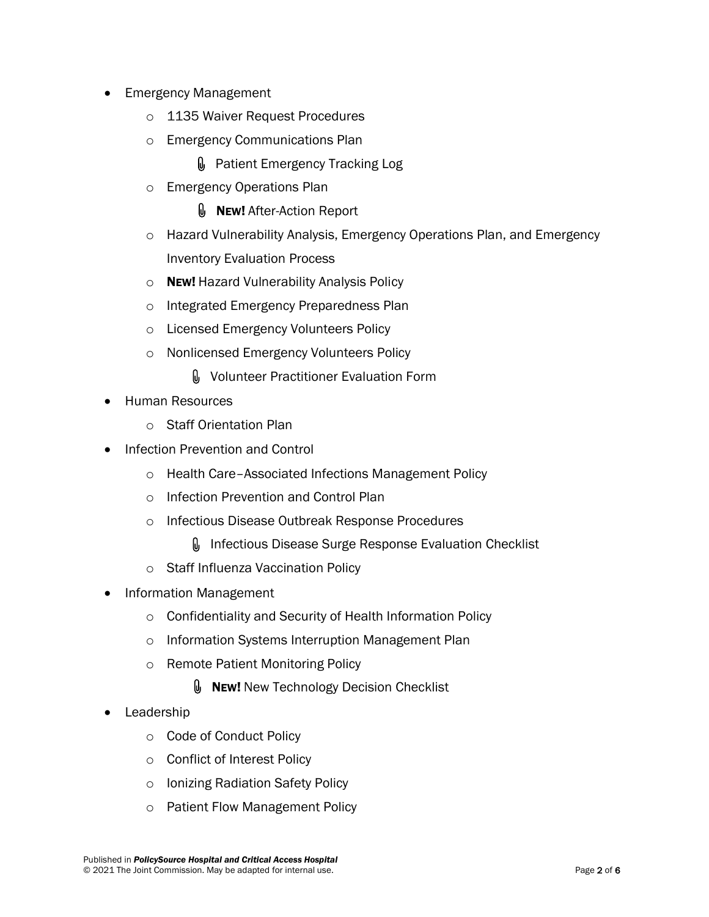- Emergency Management
	- o 1135 Waiver Request Procedures
	- o Emergency Communications Plan
		- Patient Emergency Tracking Log
	- o Emergency Operations Plan
		- **U** NEW! After-Action Report
	- o Hazard Vulnerability Analysis, Emergency Operations Plan, and Emergency Inventory Evaluation Process
	- o **NEW!** Hazard Vulnerability Analysis Policy
	- o Integrated Emergency Preparedness Plan
	- o Licensed Emergency Volunteers Policy
	- o Nonlicensed Emergency Volunteers Policy
		- **M** Volunteer Practitioner Evaluation Form
- Human Resources
	- o Staff Orientation Plan
- Infection Prevention and Control
	- o Health Care–Associated Infections Management Policy
	- o Infection Prevention and Control Plan
	- o Infectious Disease Outbreak Response Procedures
		- **I**. Infectious Disease Surge Response Evaluation Checklist
	- o Staff Influenza Vaccination Policy
- Information Management
	- o Confidentiality and Security of Health Information Policy
	- o Information Systems Interruption Management Plan
	- o Remote Patient Monitoring Policy
		- **U** New! New Technology Decision Checklist
- **Leadership** 
	- o Code of Conduct Policy
	- o Conflict of Interest Policy
	- o Ionizing Radiation Safety Policy
	- o Patient Flow Management Policy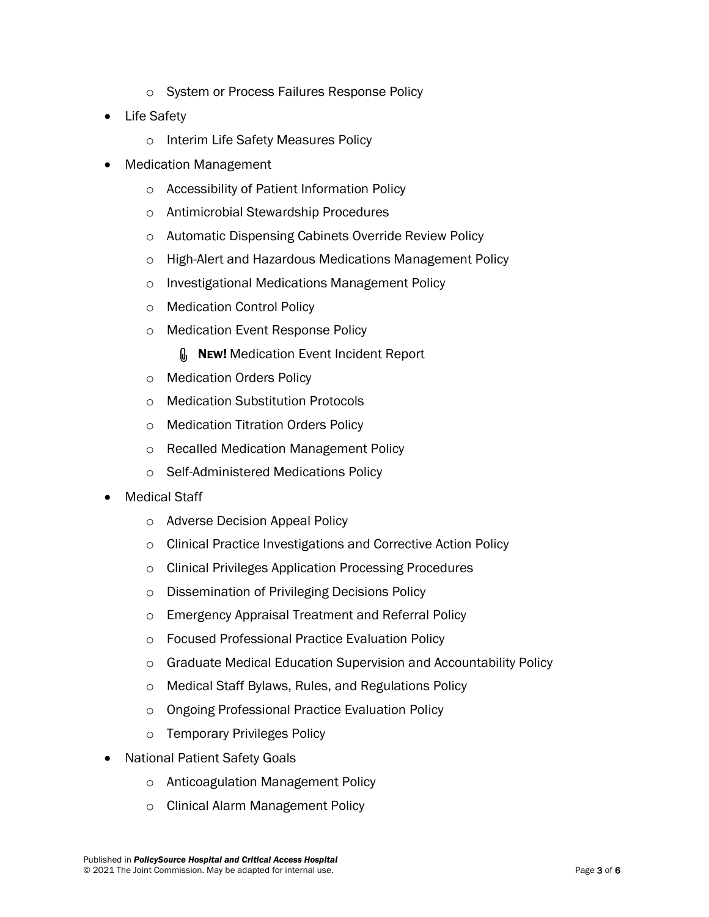- o System or Process Failures Response Policy
- Life Safety
	- o Interim Life Safety Measures Policy
- Medication Management
	- o Accessibility of Patient Information Policy
	- o Antimicrobial Stewardship Procedures
	- o Automatic Dispensing Cabinets Override Review Policy
	- o High-Alert and Hazardous Medications Management Policy
	- o Investigational Medications Management Policy
	- o Medication Control Policy
	- o Medication Event Response Policy
		- **NEW!** Medication Event Incident Report
	- o Medication Orders Policy
	- o Medication Substitution Protocols
	- o Medication Titration Orders Policy
	- o Recalled Medication Management Policy
	- o Self-Administered Medications Policy
- **Medical Staff** 
	- o Adverse Decision Appeal Policy
	- o Clinical Practice Investigations and Corrective Action Policy
	- o Clinical Privileges Application Processing Procedures
	- o Dissemination of Privileging Decisions Policy
	- o Emergency Appraisal Treatment and Referral Policy
	- o Focused Professional Practice Evaluation Policy
	- o Graduate Medical Education Supervision and Accountability Policy
	- o Medical Staff Bylaws, Rules, and Regulations Policy
	- o Ongoing Professional Practice Evaluation Policy
	- o Temporary Privileges Policy
- **National Patient Safety Goals** 
	- o Anticoagulation Management Policy
	- o Clinical Alarm Management Policy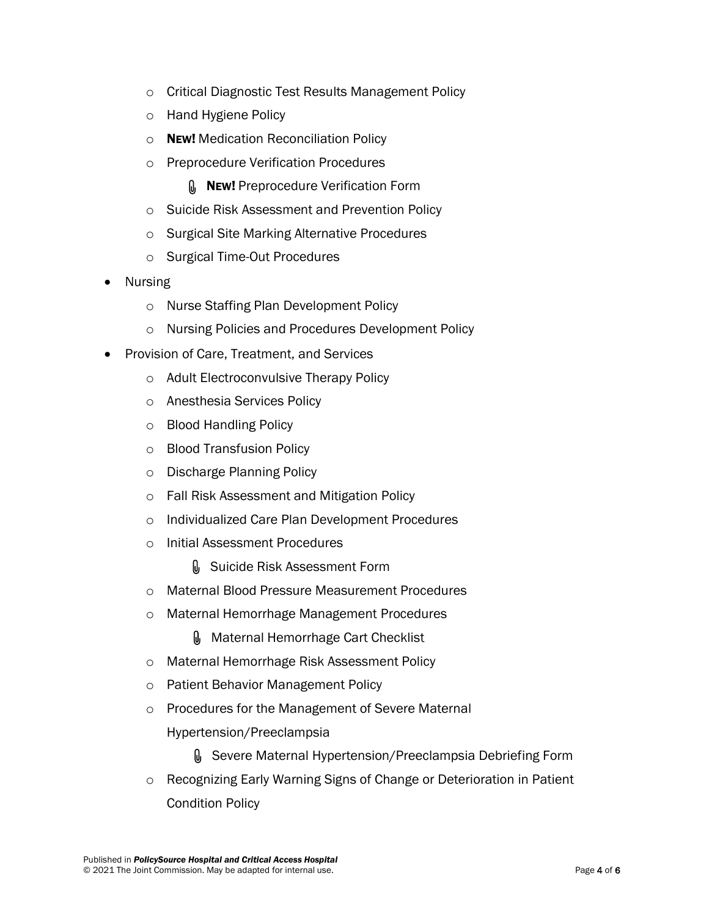- o Critical Diagnostic Test Results Management Policy
- o Hand Hygiene Policy
- o NEW! Medication Reconciliation Policy
- o Preprocedure Verification Procedures
	- **MEW!** Preprocedure Verification Form
- o Suicide Risk Assessment and Prevention Policy
- o Surgical Site Marking Alternative Procedures
- o Surgical Time-Out Procedures
- Nursing
	- o Nurse Staffing Plan Development Policy
	- o Nursing Policies and Procedures Development Policy
- Provision of Care, Treatment, and Services
	- o Adult Electroconvulsive Therapy Policy
	- o Anesthesia Services Policy
	- o Blood Handling Policy
	- o Blood Transfusion Policy
	- o Discharge Planning Policy
	- o Fall Risk Assessment and Mitigation Policy
	- o Individualized Care Plan Development Procedures
	- o Initial Assessment Procedures
		- **O** Suicide Risk Assessment Form
	- o Maternal Blood Pressure Measurement Procedures
	- o Maternal Hemorrhage Management Procedures
		- **Maternal Hemorrhage Cart Checklist**
	- o Maternal Hemorrhage Risk Assessment Policy
	- o Patient Behavior Management Policy
	- o Procedures for the Management of Severe Maternal Hypertension/Preeclampsia
		- Severe Maternal Hypertension/Preeclampsia Debriefing Form
	- o Recognizing Early Warning Signs of Change or Deterioration in Patient Condition Policy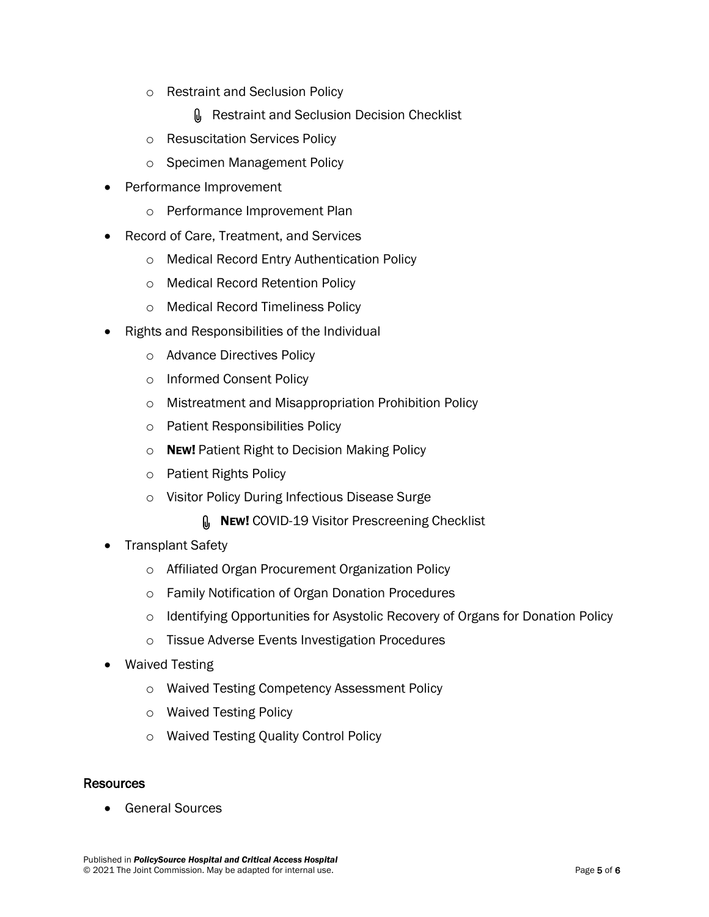- o Restraint and Seclusion Policy
	- **Q** Restraint and Seclusion Decision Checklist
- o Resuscitation Services Policy
- o Specimen Management Policy
- Performance Improvement
	- o Performance Improvement Plan
- Record of Care, Treatment, and Services
	- o Medical Record Entry Authentication Policy
	- o Medical Record Retention Policy
	- o Medical Record Timeliness Policy
- Rights and Responsibilities of the Individual
	- o Advance Directives Policy
	- o Informed Consent Policy
	- o Mistreatment and Misappropriation Prohibition Policy
	- o Patient Responsibilities Policy
	- o NEW! Patient Right to Decision Making Policy
	- o Patient Rights Policy
	- o Visitor Policy During Infectious Disease Surge
		- **NEW! COVID-19 Visitor Prescreening Checklist**
- Transplant Safety
	- o Affiliated Organ Procurement Organization Policy
	- o Family Notification of Organ Donation Procedures
	- o Identifying Opportunities for Asystolic Recovery of Organs for Donation Policy
	- o Tissue Adverse Events Investigation Procedures
- Waived Testing
	- o Waived Testing Competency Assessment Policy
	- o Waived Testing Policy
	- o Waived Testing Quality Control Policy

## **Resources**

General Sources